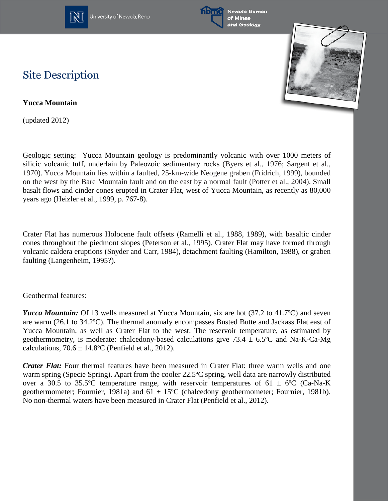

University of Nevada, Reno





## **Site Description**

**Yucca Mountain**

(updated 2012)

Geologic setting: Yucca Mountain geology is predominantly volcanic with over 1000 meters of silicic volcanic tuff, underlain by Paleozoic sedimentary rocks (Byers et al., 1976; Sargent et al., 1970). Yucca Mountain lies within a faulted, 25-km-wide Neogene graben (Fridrich, 1999), bounded on the west by the Bare Mountain fault and on the east by a normal fault (Potter et al., 2004). Small basalt flows and cinder cones erupted in Crater Flat, west of Yucca Mountain, as recently as 80,000 years ago (Heizler et al., 1999, p. 767-8).

Crater Flat has numerous Holocene fault offsets (Ramelli et al., 1988, 1989), with basaltic cinder cones throughout the piedmont slopes (Peterson et al., 1995). Crater Flat may have formed through volcanic caldera eruptions (Snyder and Carr, 1984), detachment faulting (Hamilton, 1988), or graben faulting (Langenheim, 1995?).

## Geothermal features:

*Yucca Mountain:* Of 13 wells measured at Yucca Mountain, six are hot (37.2 to 41.7°C) and seven are warm (26.1 to 34.2ºC). The thermal anomaly encompasses Busted Butte and Jackass Flat east of Yucca Mountain, as well as Crater Flat to the west. The reservoir temperature, as estimated by geothermometry, is moderate: chalcedony-based calculations give  $73.4 \pm 6.5^{\circ}\text{C}$  and Na-K-Ca-Mg calculations,  $70.6 \pm 14.8$ °C (Penfield et al., 2012).

*Crater Flat:* Four thermal features have been measured in Crater Flat: three warm wells and one warm spring (Specie Spring). Apart from the cooler 22.5ºC spring, well data are narrowly distributed over a 30.5 to 35.5°C temperature range, with reservoir temperatures of 61  $\pm$  6°C (Ca-Na-K) geothermometer; Fournier, 1981a) and  $61 \pm 15^{\circ}$ C (chalcedony geothermometer; Fournier, 1981b). No non-thermal waters have been measured in Crater Flat (Penfield et al., 2012).